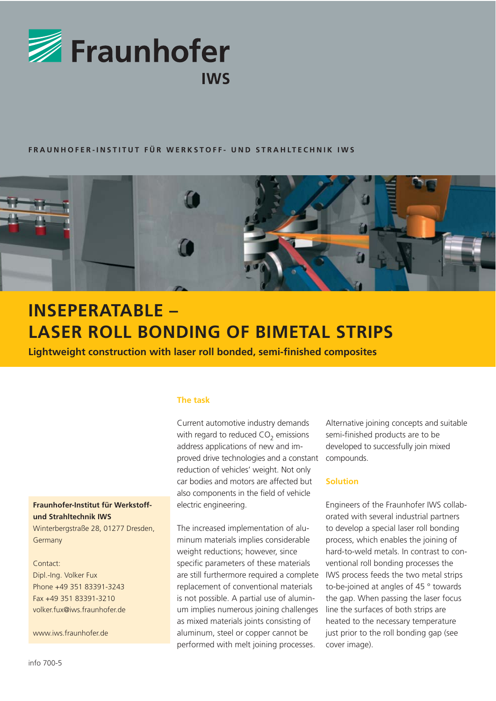

# **FRAUNHOFER-INSTITUT FÜR WERKSTOFF- UND STRAHLTECHNIK IWS**



# **INSEPERATABLE – LASER ROLL BONDING OF BIMETAL STRIPS**

**Lightweight construction with laser roll bonded, semi-finished composites**

#### **The task**

Current automotive industry demands with regard to reduced  $CO<sub>2</sub>$  emissions address applications of new and improved drive technologies and a constant reduction of vehicles' weight. Not only car bodies and motors are affected but also components in the field of vehicle electric engineering.

The increased implementation of aluminum materials implies considerable weight reductions; however, since specific parameters of these materials are still furthermore required a complete replacement of conventional materials is not possible. A partial use of aluminum implies numerous joining challenges as mixed materials joints consisting of aluminum, steel or copper cannot be performed with melt joining processes.

Alternative joining concepts and suitable semi-finished products are to be developed to successfully join mixed compounds.

## **Solution**

Engineers of the Fraunhofer IWS collaborated with several industrial partners to develop a special laser roll bonding process, which enables the joining of hard-to-weld metals. In contrast to conventional roll bonding processes the IWS process feeds the two metal strips to-be-joined at angles of 45 ° towards the gap. When passing the laser focus line the surfaces of both strips are heated to the necessary temperature just prior to the roll bonding gap (see cover image).

# **Fraunhofer-Institut für Werkstoffund Strahltechnik IWS**

Winterbergstraße 28, 01277 Dresden, Germany

### Contact:

Dipl.-Ing. Volker Fux Phone +49 351 83391-3243 Fax +49 351 83391-3210 volker.fux@iws.fraunhofer.de

www.iws.fraunhofer.de